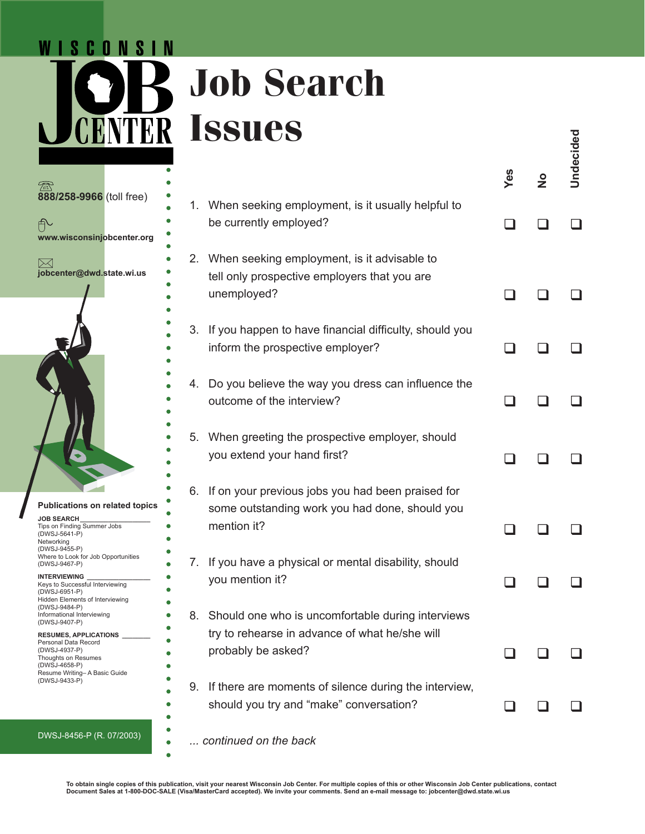## **Job Search INTER Issues**



WISCONSIN

 $\mathbf{C}$ 

|    | <b>IPPIILP</b>                                                                                                            |     |               | Undecided |
|----|---------------------------------------------------------------------------------------------------------------------------|-----|---------------|-----------|
|    |                                                                                                                           | Yes | $\frac{1}{2}$ |           |
|    | 1. When seeking employment, is it usually helpful to<br>be currently employed?                                            |     |               |           |
|    | 2. When seeking employment, is it advisable to<br>tell only prospective employers that you are<br>unemployed?             |     |               |           |
| 3. | If you happen to have financial difficulty, should you<br>inform the prospective employer?                                |     |               |           |
| 4. | Do you believe the way you dress can influence the<br>outcome of the interview?                                           |     |               |           |
| 5. | When greeting the prospective employer, should<br>you extend your hand first?                                             |     |               |           |
| 6. | If on your previous jobs you had been praised for<br>some outstanding work you had done, should you<br>mention it?        |     |               |           |
| 7. | If you have a physical or mental disability, should<br>you mention it?                                                    |     |               |           |
| 8. | Should one who is uncomfortable during interviews<br>try to rehearse in advance of what he/she will<br>probably be asked? |     |               |           |
| 9. | If there are moments of silence during the interview,<br>should you try and "make" conversation?                          |     |               |           |
|    | continued on the back                                                                                                     |     |               |           |

**b**abit